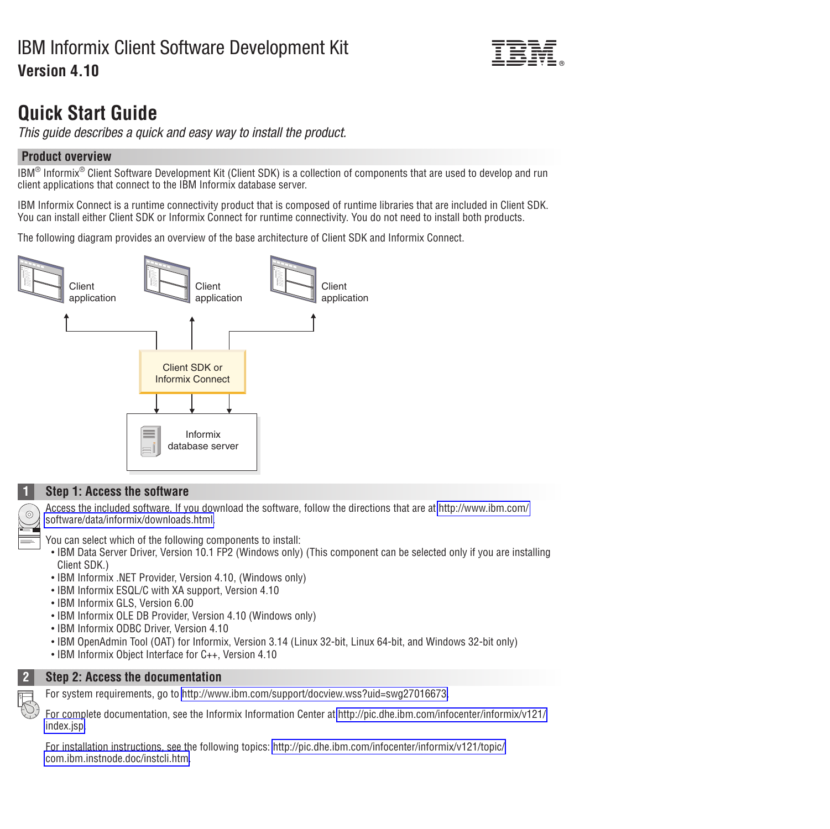# IBM Informix Client Software Development Kit **Version 4.10**



# **Quick Start Guide**

*This guide describes a quick and easy way to install the product.*

# **Product overview**

IBM<sup>®</sup> Informix<sup>®</sup> Client Software Development Kit (Client SDK) is a collection of components that are used to develop and run client applications that connect to the IBM Informix database server.

IBM Informix Connect is a runtime connectivity product that is composed of runtime libraries that are included in Client SDK. You can install either Client SDK or Informix Connect for runtime connectivity. You do not need to install both products.

The following diagram provides an overview of the base architecture of Client SDK and Informix Connect.



# **1 Step 1: Access the software**

Access the included software. If you download the software, follow the directions that are at [http://www.ibm.com/](http://www.ibm.com/software/data/informix/downloads.html) [software/data/informix/downloads.html.](http://www.ibm.com/software/data/informix/downloads.html)

You can select which of the following components to install:

- IBM Data Server Driver, Version 10.1 FP2 (Windows only) (This component can be selected only if you are installing Client SDK.)
- IBM Informix .NET Provider, Version 4.10, (Windows only)
- IBM Informix ESQL/C with XA support, Version 4.10
- IBM Informix GLS, Version 6.00
- IBM Informix OLE DB Provider, Version 4.10 (Windows only)
- IBM Informix ODBC Driver, Version 4.10
- v IBM OpenAdmin Tool (OAT) for Informix, Version 3.14 (Linux 32-bit, Linux 64-bit, and Windows 32-bit only)
- IBM Informix Object Interface for C++, Version 4.10



**2 Step 2: Access the documentation**

For system requirements, go to [http://www.ibm.com/support/docview.wss?uid=swg27016673.](http://www.ibm.com/support/docview.wss?uid=swg27016673)

For complete documentation, see the Informix Information Center at [http://pic.dhe.ibm.com/infocenter/informix/v121/](http://pic.dhe.ibm.com/infocenter/informix/v121/index.jsp) [index.jsp.](http://pic.dhe.ibm.com/infocenter/informix/v121/index.jsp)

For installation instructions, see the following topics: [http://pic.dhe.ibm.com/infocenter/informix/v121/topic/](http://pic.dhe.ibm.com/infocenter/informix/v121/topic/com.ibm.instnode.doc/instcli.htm) [com.ibm.instnode.doc/instcli.htm.](http://pic.dhe.ibm.com/infocenter/informix/v121/topic/com.ibm.instnode.doc/instcli.htm)